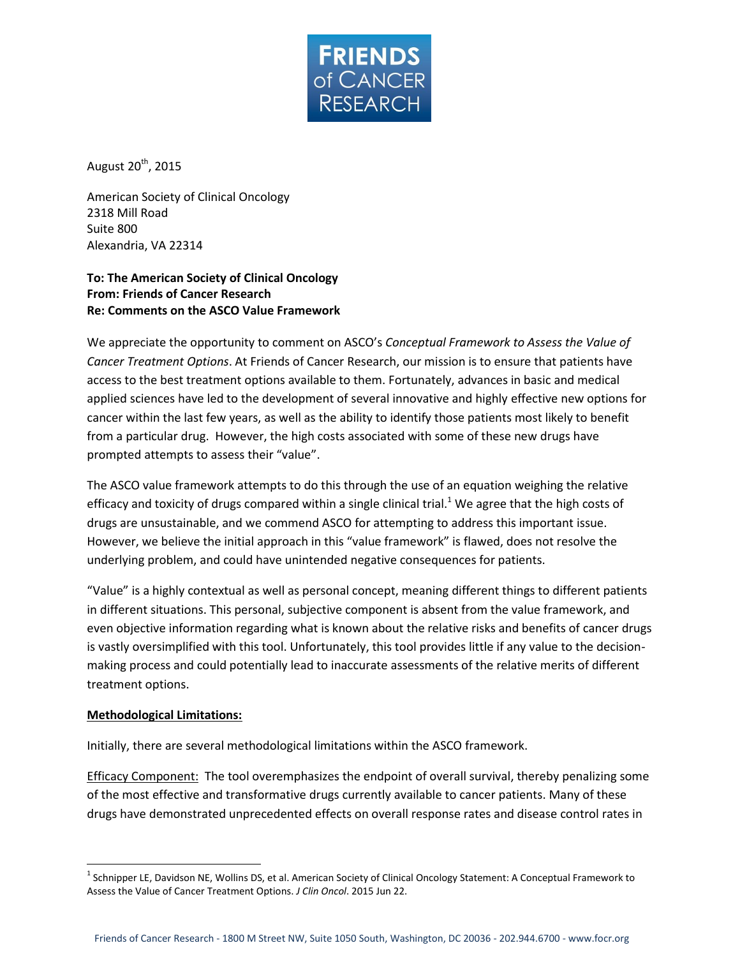

August 20<sup>th</sup>, 2015

American Society of Clinical Oncology 2318 Mill Road Suite 800 Alexandria, VA 22314

## **To: The American Society of Clinical Oncology From: Friends of Cancer Research Re: Comments on the ASCO Value Framework**

We appreciate the opportunity to comment on ASCO's *Conceptual Framework to Assess the Value of Cancer Treatment Options*. At Friends of Cancer Research, our mission is to ensure that patients have access to the best treatment options available to them. Fortunately, advances in basic and medical applied sciences have led to the development of several innovative and highly effective new options for cancer within the last few years, as well as the ability to identify those patients most likely to benefit from a particular drug. However, the high costs associated with some of these new drugs have prompted attempts to assess their "value".

The ASCO value framework attempts to do this through the use of an equation weighing the relative efficacy and toxicity of drugs compared within a single clinical trial.<sup>1</sup> We agree that the high costs of drugs are unsustainable, and we commend ASCO for attempting to address this important issue. However, we believe the initial approach in this "value framework" is flawed, does not resolve the underlying problem, and could have unintended negative consequences for patients.

"Value" is a highly contextual as well as personal concept, meaning different things to different patients in different situations. This personal, subjective component is absent from the value framework, and even objective information regarding what is known about the relative risks and benefits of cancer drugs is vastly oversimplified with this tool. Unfortunately, this tool provides little if any value to the decisionmaking process and could potentially lead to inaccurate assessments of the relative merits of different treatment options.

## **Methodological Limitations:**

 $\overline{\phantom{a}}$ 

Initially, there are several methodological limitations within the ASCO framework.

Efficacy Component: The tool overemphasizes the endpoint of overall survival, thereby penalizing some of the most effective and transformative drugs currently available to cancer patients. Many of these drugs have demonstrated unprecedented effects on overall response rates and disease control rates in

<sup>&</sup>lt;sup>1</sup> Schnipper LE, Davidson NE, Wollins DS, et al. American Society of Clinical Oncology Statement: A Conceptual Framework to Assess the Value of Cancer Treatment Options. *J Clin Oncol*. 2015 Jun 22.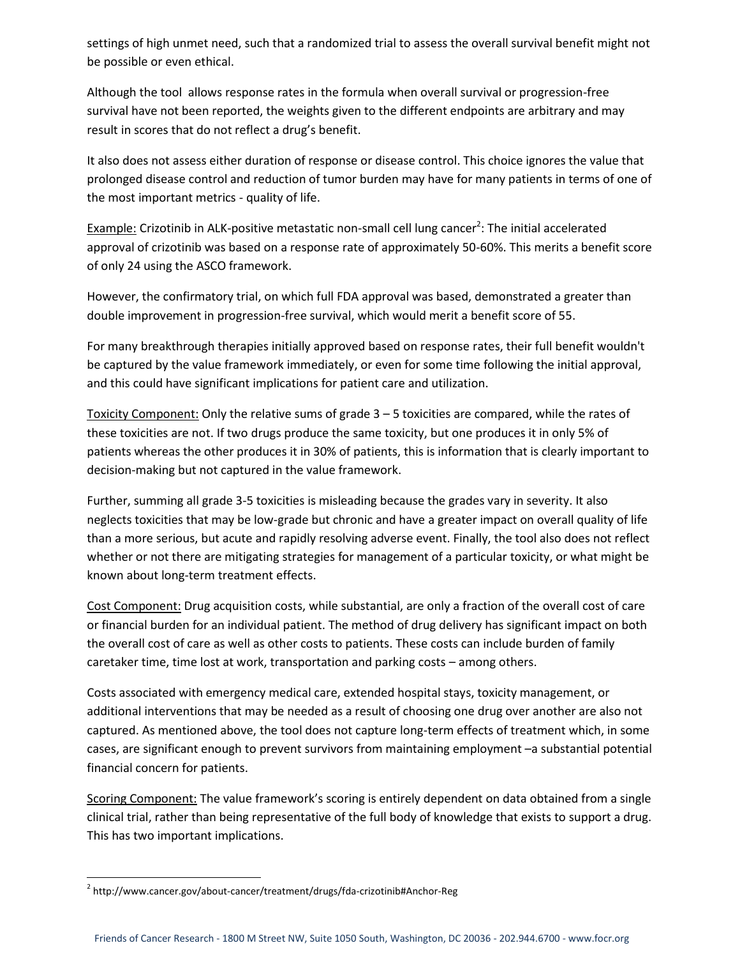settings of high unmet need, such that a randomized trial to assess the overall survival benefit might not be possible or even ethical.

Although the tool allows response rates in the formula when overall survival or progression-free survival have not been reported, the weights given to the different endpoints are arbitrary and may result in scores that do not reflect a drug's benefit.

It also does not assess either duration of response or disease control. This choice ignores the value that prolonged disease control and reduction of tumor burden may have for many patients in terms of one of the most important metrics - quality of life.

Example: Crizotinib in ALK-positive metastatic non-small cell lung cancer<sup>2</sup>: The initial accelerated approval of crizotinib was based on a response rate of approximately 50-60%. This merits a benefit score of only 24 using the ASCO framework.

However, the confirmatory trial, on which full FDA approval was based, demonstrated a greater than double improvement in progression-free survival, which would merit a benefit score of 55.

For many breakthrough therapies initially approved based on response rates, their full benefit wouldn't be captured by the value framework immediately, or even for some time following the initial approval, and this could have significant implications for patient care and utilization.

Toxicity Component: Only the relative sums of grade 3 – 5 toxicities are compared, while the rates of these toxicities are not. If two drugs produce the same toxicity, but one produces it in only 5% of patients whereas the other produces it in 30% of patients, this is information that is clearly important to decision-making but not captured in the value framework.

Further, summing all grade 3-5 toxicities is misleading because the grades vary in severity. It also neglects toxicities that may be low-grade but chronic and have a greater impact on overall quality of life than a more serious, but acute and rapidly resolving adverse event. Finally, the tool also does not reflect whether or not there are mitigating strategies for management of a particular toxicity, or what might be known about long-term treatment effects.

Cost Component: Drug acquisition costs, while substantial, are only a fraction of the overall cost of care or financial burden for an individual patient. The method of drug delivery has significant impact on both the overall cost of care as well as other costs to patients. These costs can include burden of family caretaker time, time lost at work, transportation and parking costs – among others.

Costs associated with emergency medical care, extended hospital stays, toxicity management, or additional interventions that may be needed as a result of choosing one drug over another are also not captured. As mentioned above, the tool does not capture long-term effects of treatment which, in some cases, are significant enough to prevent survivors from maintaining employment –a substantial potential financial concern for patients.

Scoring Component: The value framework's scoring is entirely dependent on data obtained from a single clinical trial, rather than being representative of the full body of knowledge that exists to support a drug. This has two important implications.

l

<sup>&</sup>lt;sup>2</sup> http://www.cancer.gov/about-cancer/treatment/drugs/fda-crizotinib#Anchor-Reg